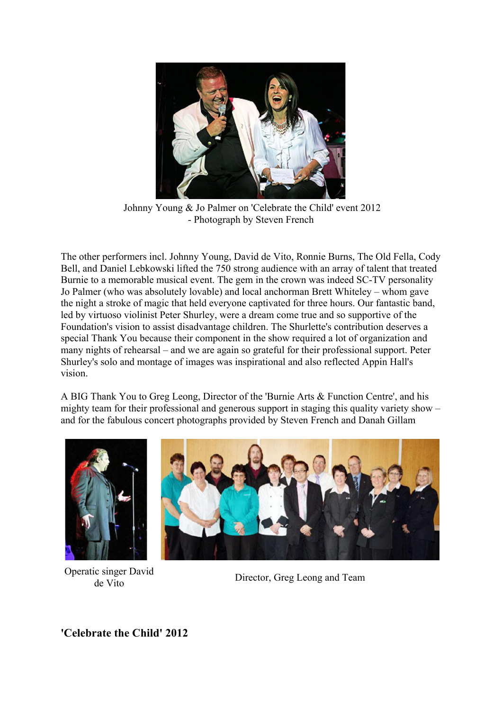

Johnny Young & Jo Palmer on 'Celebrate the Child' event 2012 - Photograph by Steven French

The other performers incl. Johnny Young, David de Vito, Ronnie Burns, The Old Fella, Cody Bell, and Daniel Lebkowski lifted the 750 strong audience with an array of talent that treated Burnie to a memorable musical event. The gem in the crown was indeed SC-TV personality Jo Palmer (who was absolutely lovable) and local anchorman Brett Whiteley – whom gave the night a stroke of magic that held everyone captivated for three hours. Our fantastic band, led by virtuoso violinist Peter Shurley, were a dream come true and so supportive of the Foundation's vision to assist disadvantage children. The Shurlette's contribution deserves a special Thank You because their component in the show required a lot of organization and many nights of rehearsal – and we are again so grateful for their professional support. Peter Shurley's solo and montage of images was inspirational and also reflected Appin Hall's vision.

A BIG Thank You to Greg Leong, Director of the 'Burnie Arts & Function Centre', and his mighty team for their professional and generous support in staging this quality variety show – and for the fabulous concert photographs provided by Steven French and Danah Gillam



Operatic singer David



de Vito<br>de Vito

**'Celebrate the Child' 2012**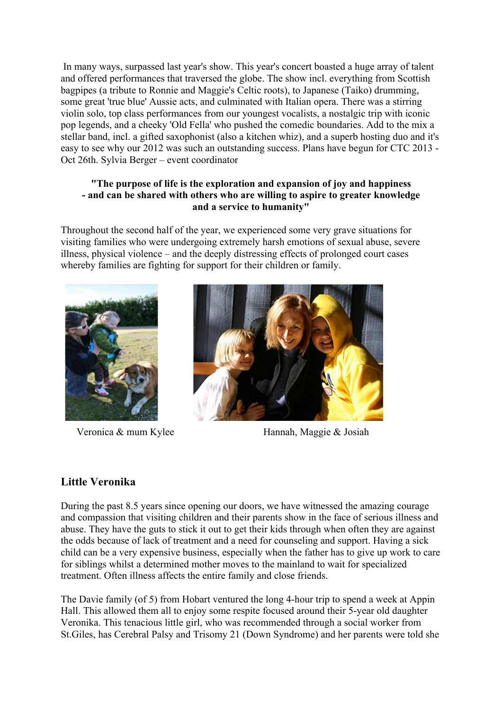In many ways, surpassed last year's show. This year's concert boasted a huge array of talent and offered performances that traversed the globe. The show incl. everything from Scottish bagpipes (a tribute to Ronnie and Maggie's Celtic roots), to Japanese (Taiko) drumming, some great 'true blue' Aussie acts, and culminated with Italian opera. There was a stirring violin solo, top class performances from our youngest vocalists, a nostalgic trip with iconic pop legends, and a cheeky 'Old Fella' who pushed the comedic boundaries. Add to the mix a stellar band, incl. a gifted saxophonist (also a kitchen whiz), and a superb hosting duo and it's easy to see why our 2012 was such an outstanding success. Plans have begun for CTC 2013 - Oct 26th. Sylvia Berger – event coordinator

#### **"The purpose of life is the exploration and expansion of joy and happiness - and can be shared with others who are willing to aspire to greater knowledge and a service to humanity"**

Throughout the second half of the year, we experienced some very grave situations for visiting families who were undergoing extremely harsh emotions of sexual abuse, severe illness, physical violence – and the deeply distressing effects of prolonged court cases whereby families are fighting for support for their children or family.





Veronica & mum Kylee Hannah, Maggie & Josiah

## **Little Veronika**

During the past 8.5 years since opening our doors, we have witnessed the amazing courage and compassion that visiting children and their parents show in the face of serious illness and abuse. They have the guts to stick it out to get their kids through when often they are against the odds because of lack of treatment and a need for counseling and support. Having a sick child can be a very expensive business, especially when the father has to give up work to care for siblings whilst a determined mother moves to the mainland to wait for specialized treatment. Often illness affects the entire family and close friends.

The Davie family (of 5) from Hobart ventured the long 4-hour trip to spend a week at Appin Hall. This allowed them all to enjoy some respite focused around their 5-year old daughter Veronika. This tenacious little girl, who was recommended through a social worker from St.Giles, has Cerebral Palsy and Trisomy 21 (Down Syndrome) and her parents were told she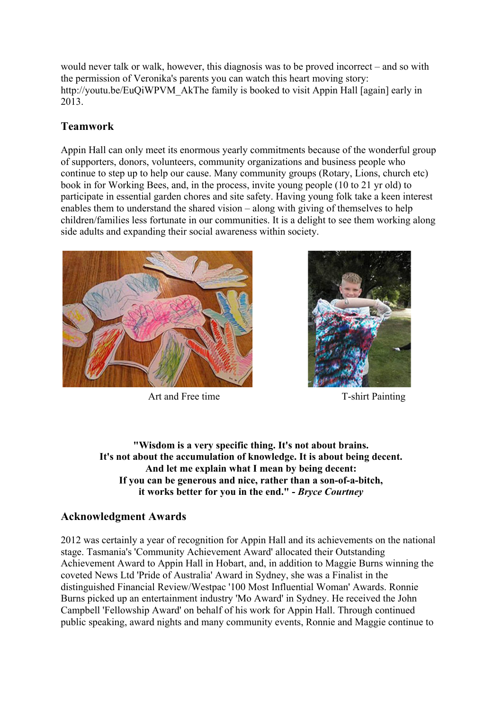would never talk or walk, however, this diagnosis was to be proved incorrect – and so with the permission of Veronika's parents you can watch this heart moving story: http://youtu.be/EuQiWPVM\_AkThe family is booked to visit Appin Hall [again] early in 2013.

# **Teamwork**

Appin Hall can only meet its enormous yearly commitments because of the wonderful group of supporters, donors, volunteers, community organizations and business people who continue to step up to help our cause. Many community groups (Rotary, Lions, church etc) book in for Working Bees, and, in the process, invite young people (10 to 21 yr old) to participate in essential garden chores and site safety. Having young folk take a keen interest enables them to understand the shared vision – along with giving of themselves to help children/families less fortunate in our communities. It is a delight to see them working along side adults and expanding their social awareness within society.



Art and Free time T-shirt Painting



**"Wisdom is a very specific thing. It's not about brains. It's not about the accumulation of knowledge. It is about being decent. And let me explain what I mean by being decent: If you can be generous and nice, rather than a son-of-a-bitch, it works better for you in the end." -** *Bryce Courtney*

### **Acknowledgment Awards**

2012 was certainly a year of recognition for Appin Hall and its achievements on the national stage. Tasmania's 'Community Achievement Award' allocated their Outstanding Achievement Award to Appin Hall in Hobart, and, in addition to Maggie Burns winning the coveted News Ltd 'Pride of Australia' Award in Sydney, she was a Finalist in the distinguished Financial Review/Westpac '100 Most Influential Woman' Awards. Ronnie Burns picked up an entertainment industry 'Mo Award' in Sydney. He received the John Campbell 'Fellowship Award' on behalf of his work for Appin Hall. Through continued public speaking, award nights and many community events, Ronnie and Maggie continue to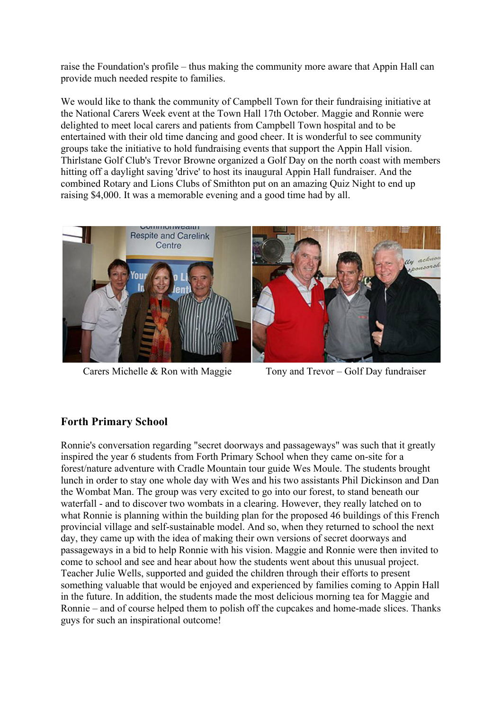raise the Foundation's profile – thus making the community more aware that Appin Hall can provide much needed respite to families.

We would like to thank the community of Campbell Town for their fundraising initiative at the National Carers Week event at the Town Hall 17th October. Maggie and Ronnie were delighted to meet local carers and patients from Campbell Town hospital and to be entertained with their old time dancing and good cheer. It is wonderful to see community groups take the initiative to hold fundraising events that support the Appin Hall vision. Thirlstane Golf Club's Trevor Browne organized a Golf Day on the north coast with members hitting off a daylight saving 'drive' to host its inaugural Appin Hall fundraiser. And the combined Rotary and Lions Clubs of Smithton put on an amazing Quiz Night to end up raising \$4,000. It was a memorable evening and a good time had by all.



Carers Michelle & Ron with Maggie Tony and Trevor – Golf Day fundraiser

## **Forth Primary School**

Ronnie's conversation regarding "secret doorways and passageways" was such that it greatly inspired the year 6 students from Forth Primary School when they came on-site for a forest/nature adventure with Cradle Mountain tour guide Wes Moule. The students brought lunch in order to stay one whole day with Wes and his two assistants Phil Dickinson and Dan the Wombat Man. The group was very excited to go into our forest, to stand beneath our waterfall - and to discover two wombats in a clearing. However, they really latched on to what Ronnie is planning within the building plan for the proposed 46 buildings of this French provincial village and self-sustainable model. And so, when they returned to school the next day, they came up with the idea of making their own versions of secret doorways and passageways in a bid to help Ronnie with his vision. Maggie and Ronnie were then invited to come to school and see and hear about how the students went about this unusual project. Teacher Julie Wells, supported and guided the children through their efforts to present something valuable that would be enjoyed and experienced by families coming to Appin Hall in the future. In addition, the students made the most delicious morning tea for Maggie and Ronnie – and of course helped them to polish off the cupcakes and home-made slices. Thanks guys for such an inspirational outcome!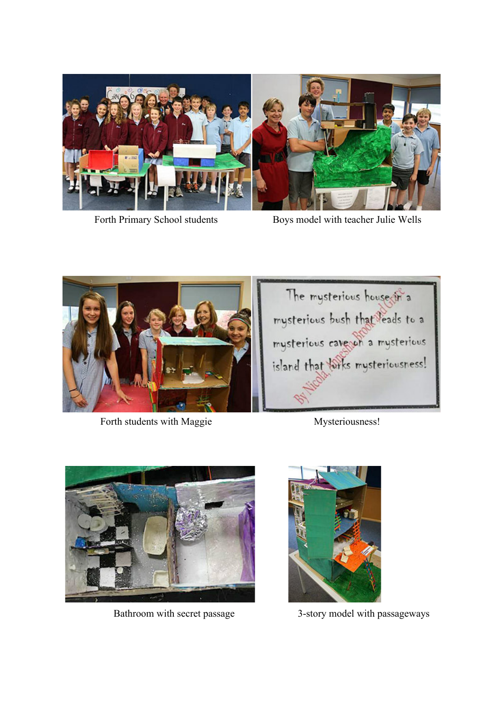

Forth Primary School students Boys model with teacher Julie Wells



Forth students with Maggie Mysteriousness!







Bathroom with secret passage 3-story model with passageways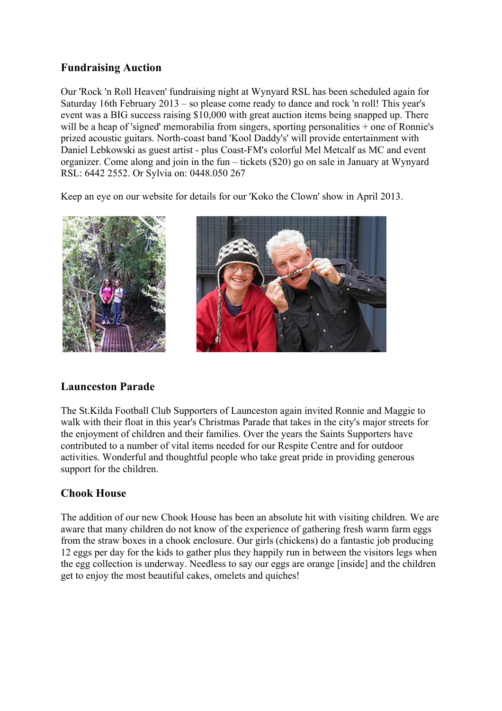### **Fundraising Auction**

Our 'Rock 'n Roll Heaven' fundraising night at Wynyard RSL has been scheduled again for Saturday 16th February 2013 – so please come ready to dance and rock 'n roll! This year's event was a BIG success raising \$10,000 with great auction items being snapped up. There will be a heap of 'signed' memorabilia from singers, sporting personalities + one of Ronnie's prized acoustic guitars. North-coast band 'Kool Daddy's' will provide entertainment with Daniel Lebkowski as guest artist - plus Coast-FM's colorful Mel Metcalf as MC and event organizer. Come along and join in the fun – tickets (\$20) go on sale in January at Wynyard RSL: 6442 2552. Or Sylvia on: 0448.050 267

Keep an eye on our website for details for our 'Koko the Clown' show in April 2013.





### **Launceston Parade**

The St.Kilda Football Club Supporters of Launceston again invited Ronnie and Maggie to walk with their float in this year's Christmas Parade that takes in the city's major streets for the enjoyment of children and their families. Over the years the Saints Supporters have contributed to a number of vital items needed for our Respite Centre and for outdoor activities. Wonderful and thoughtful people who take great pride in providing generous support for the children.

### **Chook House**

The addition of our new Chook House has been an absolute hit with visiting children. We are aware that many children do not know of the experience of gathering fresh warm farm eggs from the straw boxes in a chook enclosure. Our girls (chickens) do a fantastic job producing 12 eggs per day for the kids to gather plus they happily run in between the visitors legs when the egg collection is underway. Needless to say our eggs are orange [inside] and the children get to enjoy the most beautiful cakes, omelets and quiches!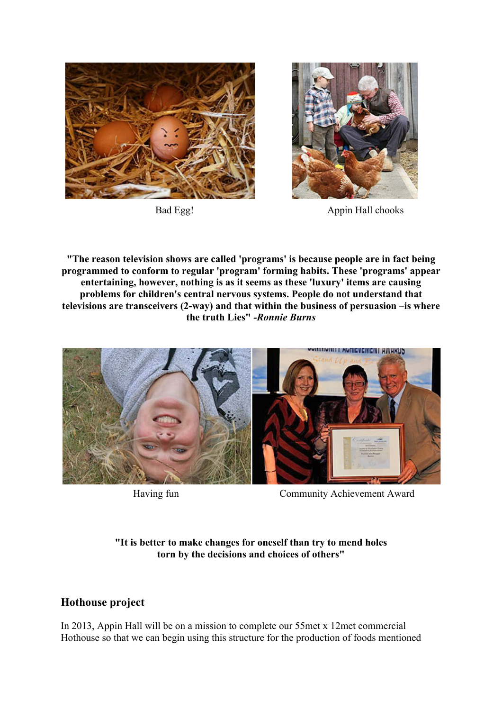



Bad Egg! Appin Hall chooks

**"The reason television shows are called 'programs' is because people are in fact being programmed to conform to regular 'program' forming habits. These 'programs' appear entertaining, however, nothing is as it seems as these 'luxury' items are causing problems for children's central nervous systems. People do not understand that televisions are transceivers (2-way) and that within the business of persuasion –is where the truth Lies"** *-Ronnie Burns*



Having fun Community Achievement Award

#### **"It is better to make changes for oneself than try to mend holes torn by the decisions and choices of others"**

## **Hothouse project**

In 2013, Appin Hall will be on a mission to complete our 55met x 12met commercial Hothouse so that we can begin using this structure for the production of foods mentioned